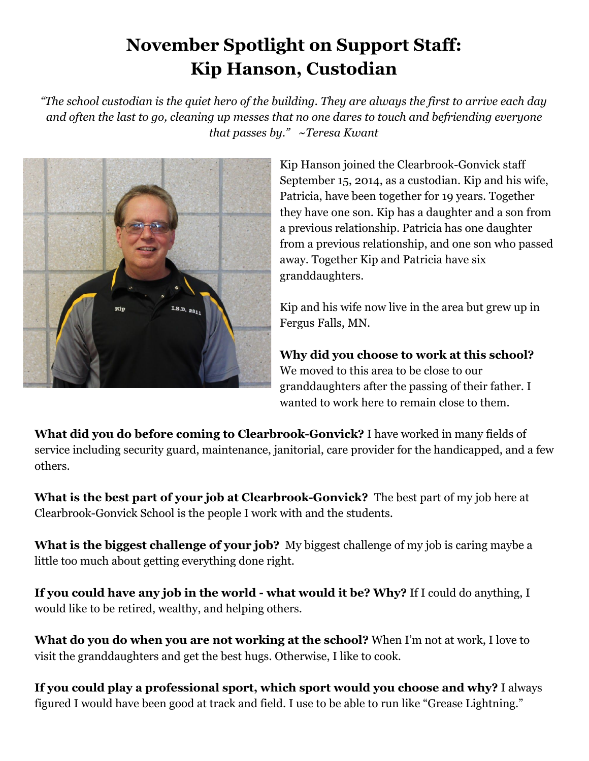## **November Spotlight on Support Staff: Kip Hanson, Custodian**

"The school custodian is the quiet hero of the building. They are always the first to arrive each day *and often the last to go, cleaning up messes that no one dares to touch and befriending everyone that passes by." ~Teresa Kwant*



Kip Hanson joined the Clearbrook-Gonvick staff September 15, 2014, as a custodian. Kip and his wife, Patricia, have been together for 19 years. Together they have one son. Kip has a daughter and a son from a previous relationship. Patricia has one daughter from a previous relationship, and one son who passed away. Together Kip and Patricia have six granddaughters.

Kip and his wife now live in the area but grew up in Fergus Falls, MN.

**Why did you choose to work at this school?** We moved to this area to be close to our granddaughters after the passing of their father. I wanted to work here to remain close to them.

**What did you do before coming to Clearbrook-Gonvick?** I have worked in many fields of service including security guard, maintenance, janitorial, care provider for the handicapped, and a few others.

**What is the best part of your job at Clearbrook-Gonvick?** The best part of my job here at Clearbrook-Gonvick School is the people I work with and the students.

**What is the biggest challenge of your job?** My biggest challenge of my job is caring maybe a little too much about getting everything done right.

**If you could have any job in the world - what would it be? Why?** If I could do anything, I would like to be retired, wealthy, and helping others.

**What do you do when you are not working at the school?** When I'm not at work, I love to visit the granddaughters and get the best hugs. Otherwise, I like to cook.

**If you could play a professional sport, which sport would you choose and why?** I always figured I would have been good at track and field. I use to be able to run like "Grease Lightning."